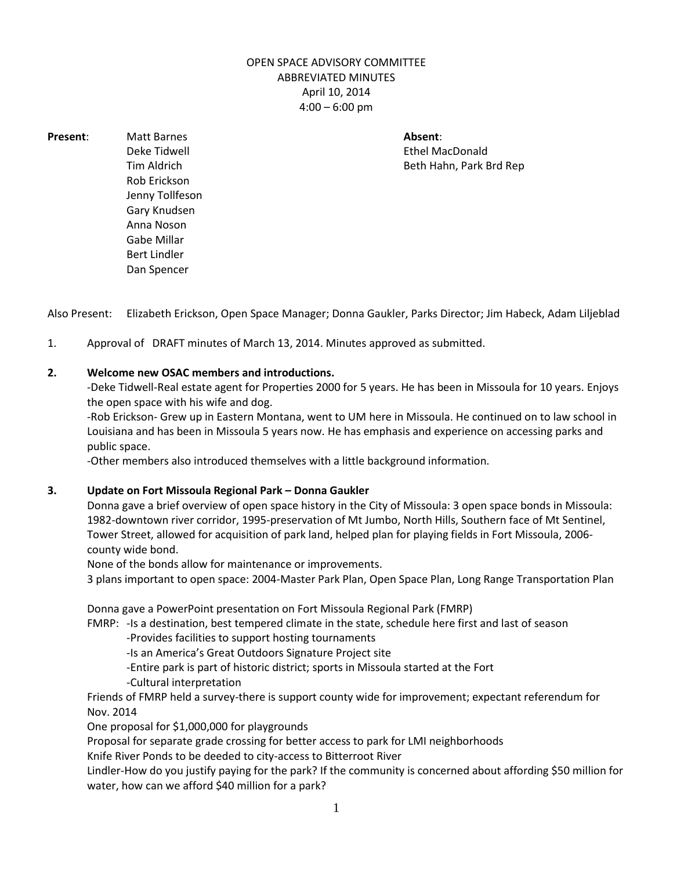## OPEN SPACE ADVISORY COMMITTEE ABBREVIATED MINUTES April 10, 2014 4:00 – 6:00 pm

**Present:** Matt Barnes **Absent:** Matt Barnes **Absent:** Absent: Rob Erickson Jenny Tollfeson Gary Knudsen Anna Noson Gabe Millar Bert Lindler Dan Spencer

Deke Tidwell Ethel MacDonald Tim Aldrich Beth Hahn, Park Brd Rep

Also Present: Elizabeth Erickson, Open Space Manager; Donna Gaukler, Parks Director; Jim Habeck, Adam Liljeblad

1. Approval of DRAFT minutes of March 13, 2014. Minutes approved as submitted.

## **2. Welcome new OSAC members and introductions.**

-Deke Tidwell-Real estate agent for Properties 2000 for 5 years. He has been in Missoula for 10 years. Enjoys the open space with his wife and dog.

-Rob Erickson- Grew up in Eastern Montana, went to UM here in Missoula. He continued on to law school in Louisiana and has been in Missoula 5 years now. He has emphasis and experience on accessing parks and public space.

-Other members also introduced themselves with a little background information.

## **3. Update on Fort Missoula Regional Park – Donna Gaukler**

Donna gave a brief overview of open space history in the City of Missoula: 3 open space bonds in Missoula: 1982-downtown river corridor, 1995-preservation of Mt Jumbo, North Hills, Southern face of Mt Sentinel, Tower Street, allowed for acquisition of park land, helped plan for playing fields in Fort Missoula, 2006 county wide bond.

None of the bonds allow for maintenance or improvements.

3 plans important to open space: 2004-Master Park Plan, Open Space Plan, Long Range Transportation Plan

Donna gave a PowerPoint presentation on Fort Missoula Regional Park (FMRP)

FMRP: -Is a destination, best tempered climate in the state, schedule here first and last of season

-Provides facilities to support hosting tournaments

-Is an America's Great Outdoors Signature Project site

-Entire park is part of historic district; sports in Missoula started at the Fort

-Cultural interpretation

Friends of FMRP held a survey-there is support county wide for improvement; expectant referendum for Nov. 2014

One proposal for \$1,000,000 for playgrounds

Proposal for separate grade crossing for better access to park for LMI neighborhoods

Knife River Ponds to be deeded to city-access to Bitterroot River

Lindler-How do you justify paying for the park? If the community is concerned about affording \$50 million for water, how can we afford \$40 million for a park?